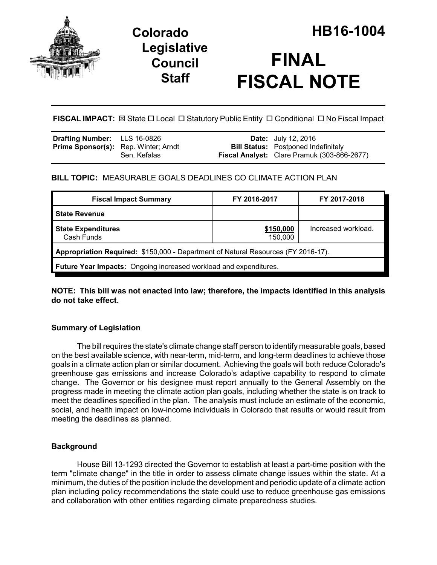

# **Legislative Council Staff**



**FISCAL IMPACT:** ⊠ State □ Local □ Statutory Public Entity □ Conditional □ No Fiscal Impact

| <b>Drafting Number:</b> LLS 16-0826         |              | <b>Date:</b> July 12, 2016                         |
|---------------------------------------------|--------------|----------------------------------------------------|
| <b>Prime Sponsor(s):</b> Rep. Winter; Arndt |              | <b>Bill Status:</b> Postponed Indefinitely         |
|                                             | Sen. Kefalas | <b>Fiscal Analyst:</b> Clare Pramuk (303-866-2677) |

# **BILL TOPIC:** MEASURABLE GOALS DEADLINES CO CLIMATE ACTION PLAN

| <b>Fiscal Impact Summary</b>                                                      | FY 2016-2017         | FY 2017-2018        |  |  |  |
|-----------------------------------------------------------------------------------|----------------------|---------------------|--|--|--|
| <b>State Revenue</b>                                                              |                      |                     |  |  |  |
| <b>State Expenditures</b><br>Cash Funds                                           | \$150,000<br>150,000 | Increased workload. |  |  |  |
| Appropriation Required: \$150,000 - Department of Natural Resources (FY 2016-17). |                      |                     |  |  |  |
| Future Year Impacts: Ongoing increased workload and expenditures.                 |                      |                     |  |  |  |

**NOTE: This bill was not enacted into law; therefore, the impacts identified in this analysis do not take effect.**

# **Summary of Legislation**

The bill requires the state's climate change staff person to identify measurable goals, based on the best available science, with near-term, mid-term, and long-term deadlines to achieve those goals in a climate action plan or similar document. Achieving the goals will both reduce Colorado's greenhouse gas emissions and increase Colorado's adaptive capability to respond to climate change. The Governor or his designee must report annually to the General Assembly on the progress made in meeting the climate action plan goals, including whether the state is on track to meet the deadlines specified in the plan. The analysis must include an estimate of the economic, social, and health impact on low-income individuals in Colorado that results or would result from meeting the deadlines as planned.

## **Background**

House Bill 13-1293 directed the Governor to establish at least a part-time position with the term "climate change" in the title in order to assess climate change issues within the state. At a minimum, the duties of the position include the development and periodic update of a climate action plan including policy recommendations the state could use to reduce greenhouse gas emissions and collaboration with other entities regarding climate preparedness studies.